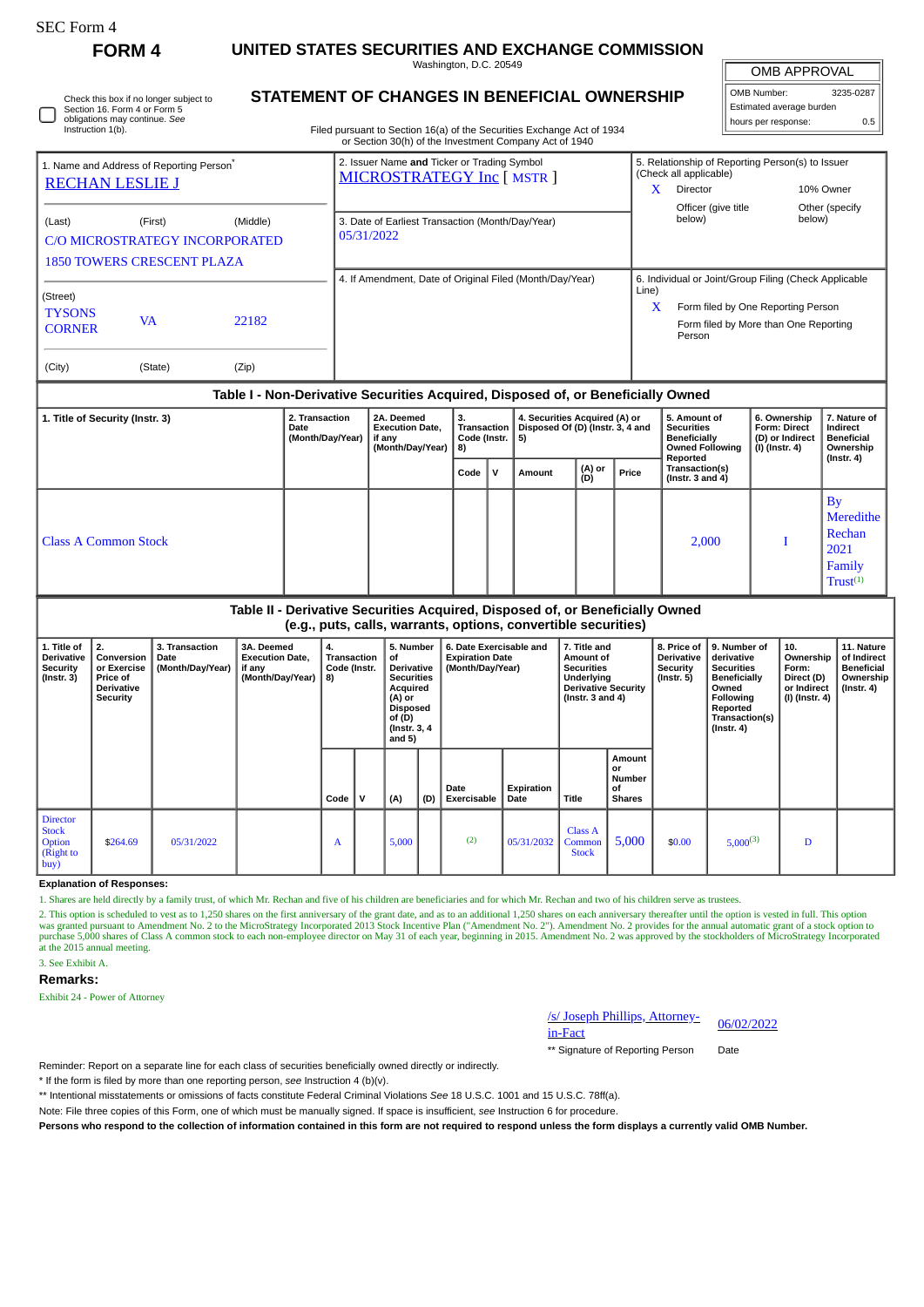| rtt, Form |  |
|-----------|--|
|-----------|--|

Check this box if no longer subject to

# **FORM 4 UNITED STATES SECURITIES AND EXCHANGE COMMISSION**

Washington, D.C. 20549 **STATEMENT OF CHANGES IN BENEFICIAL OWNERSHIP**

 $\sqrt{ }$ OMB APPROVAL

X Form filed by One Reporting Person Form filed by More than One Reporting

Person

4. If Amendment, Date of Original Filed (Month/Day/Year) 6. Individual or Joint/Group Filing (Check Applicable

Line)

| OMB Number:              | 3235-0287 |  |  |  |  |  |  |  |  |
|--------------------------|-----------|--|--|--|--|--|--|--|--|
| Estimated average burden |           |  |  |  |  |  |  |  |  |
| hours per response:      | 0.5       |  |  |  |  |  |  |  |  |

Other (specify<br>helow)

| Instruction 1(b).                                    | Section 16, Form 4 or Form 5<br>obligations may continue. See |  |  | Filed pursuant to Section 16(a) of the Securities Exchange Act of 1934    |                        | hours per response:                              | Estimated average burden |  |
|------------------------------------------------------|---------------------------------------------------------------|--|--|---------------------------------------------------------------------------|------------------------|--------------------------------------------------|--------------------------|--|
|                                                      |                                                               |  |  | or Section 30(h) of the Investment Company Act of 1940                    |                        |                                                  |                          |  |
| 1. Name and Address of Reporting Person <sup>®</sup> |                                                               |  |  | 2. Issuer Name and Ticker or Trading Symbol<br>MICROSTRATEGY Inc [ MSTR ] | (Check all applicable) | 5. Relationship of Reporting Person(s) to Issuer |                          |  |
|                                                      | <b>RECHAN LESLIE J</b>                                        |  |  |                                                                           | Director               |                                                  | 10% Owner                |  |
|                                                      |                                                               |  |  |                                                                           | Officer (give title    |                                                  | Other (spec              |  |
| (Last)                                               | (Middle)<br>(First)                                           |  |  | 3. Date of Earliest Transaction (Month/Day/Year)                          | below)                 |                                                  | below)                   |  |
| <b>C/O MICROSTRATEGY INCORPORATED</b>                |                                                               |  |  | 05/31/2022                                                                |                        |                                                  |                          |  |
|                                                      | <b>1850 TOWERS CRESCENT PLAZA</b>                             |  |  |                                                                           |                        |                                                  |                          |  |

(Street) **TYSONS** CORNER VA <sup>22182</sup> (City) (State) (Zip)

## **Table I - Non-Derivative Securities Acquired, Disposed of, or Beneficially Owned**

| 1. Title of Security (Instr. 3) | 2. Transaction<br>Date<br>(Month/Day/Year) | 2A. Deemed<br><b>Execution Date,</b><br>if any<br>(Month/Day/Year) | 4. Securities Acquired (A) or<br>5. Amount of<br>з.<br>Disposed Of (D) (Instr. 3, 4 and<br>Transaction  <br><b>Securities</b><br>Code (Instr. $ 5$ )<br>Beneficially<br>8)<br><b>Owned Following</b><br>Reported<br>(A) or<br>(D)<br>Transaction(s)<br>$\mathbf v$<br>Price<br>Code<br>Amount<br>(Instr. $3$ and $4$ ) |  |  |  |  |       | 6. Ownership<br><b>Form: Direct</b><br>(D) or Indirect<br>(I) (Instr. 4) | 7. Nature of<br>Indirect<br><b>Beneficial</b><br>Ownership<br>(Instr. 4)          |  |
|---------------------------------|--------------------------------------------|--------------------------------------------------------------------|------------------------------------------------------------------------------------------------------------------------------------------------------------------------------------------------------------------------------------------------------------------------------------------------------------------------|--|--|--|--|-------|--------------------------------------------------------------------------|-----------------------------------------------------------------------------------|--|
|                                 |                                            |                                                                    |                                                                                                                                                                                                                                                                                                                        |  |  |  |  |       |                                                                          |                                                                                   |  |
| Class A Common Stock            |                                            |                                                                    |                                                                                                                                                                                                                                                                                                                        |  |  |  |  | 2,000 |                                                                          | By<br><b>Meredithe</b><br><b>Rechan</b><br>2021<br><b>Family</b><br>$Trust^{(1)}$ |  |

### **Table II - Derivative Securities Acquired, Disposed of, or Beneficially Owned (e.g., puts, calls, warrants, options, convertible securities)**

|                                                                             |                                                                                     |                                            |                                                                    |                                           |   |                                                                                                                                    |     | icial para calla mattatica optional convertible accurrical            |                    |                                                                                                                      |                                               |                                                            |                                                                                                                                         |                                                                          |                                                                           |
|-----------------------------------------------------------------------------|-------------------------------------------------------------------------------------|--------------------------------------------|--------------------------------------------------------------------|-------------------------------------------|---|------------------------------------------------------------------------------------------------------------------------------------|-----|-----------------------------------------------------------------------|--------------------|----------------------------------------------------------------------------------------------------------------------|-----------------------------------------------|------------------------------------------------------------|-----------------------------------------------------------------------------------------------------------------------------------------|--------------------------------------------------------------------------|---------------------------------------------------------------------------|
| 1. Title of<br>Derivative<br><b>Security</b><br>(Instr. 3)                  | 2.<br>Conversion<br>or Exercise<br><b>Price of</b><br><b>Derivative</b><br>Security | 3. Transaction<br>Date<br>(Month/Day/Year) | 3A. Deemed<br><b>Execution Date,</b><br>if any<br>(Month/Day/Year) | 4.<br>Transaction<br>Code (Instr.<br>  8) |   | 5. Number<br>οf<br>Derivative<br><b>Securities</b><br>Acquired<br>(A) or<br><b>Disposed</b><br>of (D)<br>(Instr. 3, 4)<br>and $5)$ |     | 6. Date Exercisable and<br><b>Expiration Date</b><br>(Month/Day/Year) |                    | 7. Title and<br>Amount of<br><b>Securities</b><br>Underlying<br><b>Derivative Security</b><br>$($ lnstr. 3 and 4 $)$ |                                               | 8. Price of<br><b>Derivative</b><br>Security<br>(Instr. 5) | 9. Number of<br>derivative<br><b>Securities</b><br>Beneficially<br>Owned<br>Following<br>Reported<br>Transaction(s)<br>$($ Instr. 4 $)$ | 10.<br>Ownership<br>Form:<br>Direct (D)<br>or Indirect<br>(I) (Instr. 4) | 11. Nature<br>of Indirect<br><b>Beneficial</b><br>Ownership<br>(Instr. 4) |
|                                                                             |                                                                                     |                                            |                                                                    | Code                                      | v | (A)                                                                                                                                | (D) | Date<br><b>Exercisable</b>                                            | Expiration<br>Date | Title                                                                                                                | Amount<br>or<br>Number<br>οf<br><b>Shares</b> |                                                            |                                                                                                                                         |                                                                          |                                                                           |
| <b>Director</b><br><b>Stock</b><br><b>Option</b><br>$\int$ (Right to<br>buy | \$264.69                                                                            | 05/31/2022                                 |                                                                    | A                                         |   | 5,000                                                                                                                              |     | (2)                                                                   | 05/31/2032         | Class A<br>Common<br><b>Stock</b>                                                                                    | 5,000                                         | \$0.00                                                     | $5,000^{(3)}$                                                                                                                           | D                                                                        |                                                                           |

#### **Explanation of Responses:**

1. Shares are held directly by a family trust, of which Mr. Rechan and five of his children are beneficiaries and for which Mr. Rechan and two of his children serve as trustees.

2. This option is scheduled to vest as to 1,250 shares on the first anniversary of the grant date, and as to an additional 1,250 shares on each anniversary thereafter until the option is vested in full. This option<br>was gra purchase 5,000 shares of Class A common stock to each non-employee director on May 31 of each year, beginning in 2015. Amendment No. 2 was approved by the stockholders of MicroStrategy Incorporated at the 2015 annual meeting. 3. See Exhibit A.

## **Remarks:**

Exhibit 24 - Power of Attorney

/s/ Joseph Phillips, Attorney-<br>in-Fact

\*\* Signature of Reporting Person Date

Reminder: Report on a separate line for each class of securities beneficially owned directly or indirectly.

\* If the form is filed by more than one reporting person, *see* Instruction 4 (b)(v).

\*\* Intentional misstatements or omissions of facts constitute Federal Criminal Violations *See* 18 U.S.C. 1001 and 15 U.S.C. 78ff(a).

Note: File three copies of this Form, one of which must be manually signed. If space is insufficient, *see* Instruction 6 for procedure.

**Persons who respond to the collection of information contained in this form are not required to respond unless the form displays a currently valid OMB Number.**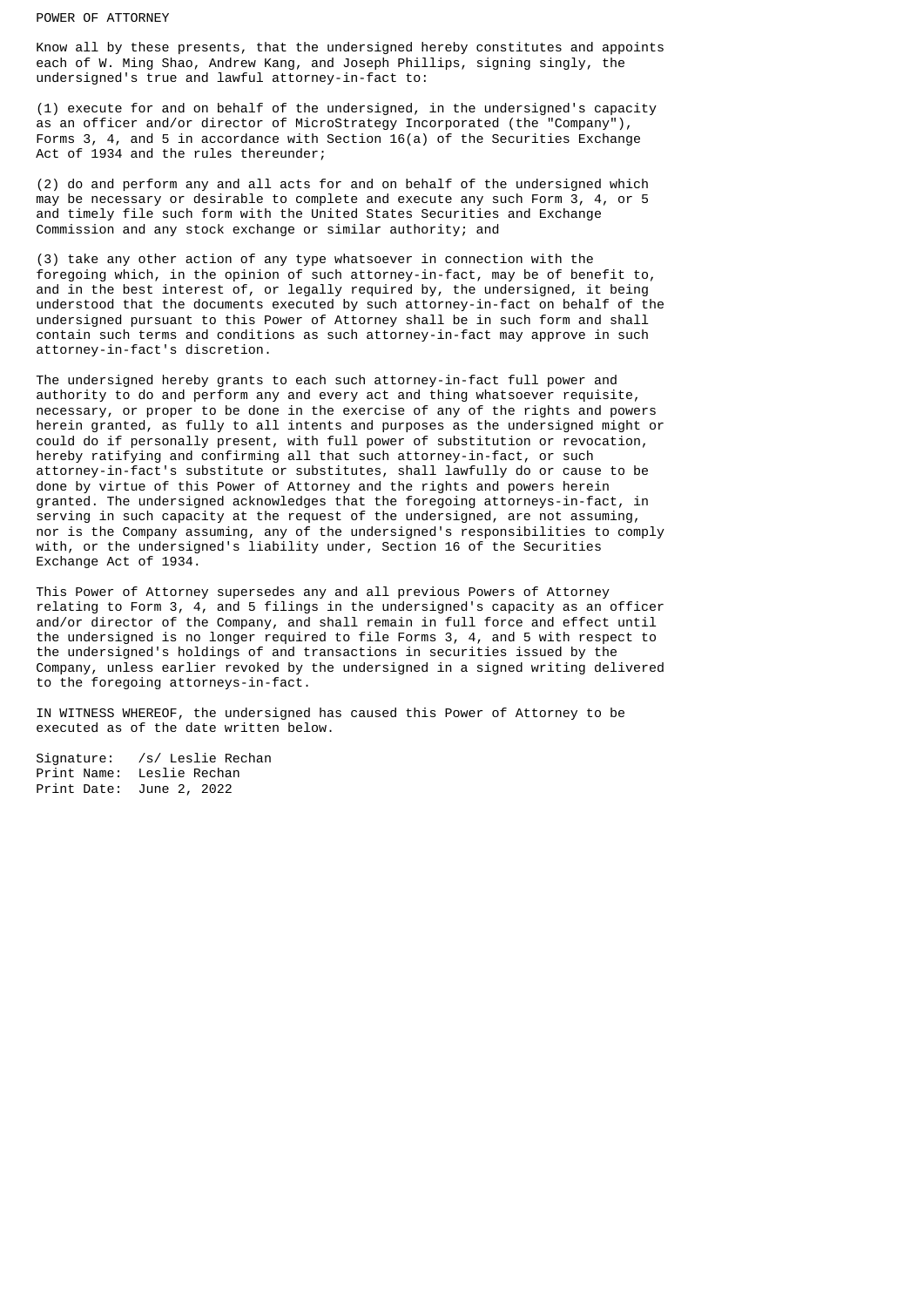### POWER OF ATTORNEY

Know all by these presents, that the undersigned hereby constitutes and appoints each of W. Ming Shao, Andrew Kang, and Joseph Phillips, signing singly, the undersigned's true and lawful attorney-in-fact to:

(1) execute for and on behalf of the undersigned, in the undersigned's capacity as an officer and/or director of MicroStrategy Incorporated (the "Company"), Forms 3, 4, and 5 in accordance with Section 16(a) of the Securities Exchange Act of 1934 and the rules thereunder;

(2) do and perform any and all acts for and on behalf of the undersigned which may be necessary or desirable to complete and execute any such Form 3, 4, or 5 and timely file such form with the United States Securities and Exchange Commission and any stock exchange or similar authority; and

(3) take any other action of any type whatsoever in connection with the foregoing which, in the opinion of such attorney-in-fact, may be of benefit to, and in the best interest of, or legally required by, the undersigned, it being understood that the documents executed by such attorney-in-fact on behalf of the undersigned pursuant to this Power of Attorney shall be in such form and shall contain such terms and conditions as such attorney-in-fact may approve in such attorney-in-fact's discretion.

The undersigned hereby grants to each such attorney-in-fact full power and authority to do and perform any and every act and thing whatsoever requisite, necessary, or proper to be done in the exercise of any of the rights and powers herein granted, as fully to all intents and purposes as the undersigned might or could do if personally present, with full power of substitution or revocation, hereby ratifying and confirming all that such attorney-in-fact, or such attorney-in-fact's substitute or substitutes, shall lawfully do or cause to be done by virtue of this Power of Attorney and the rights and powers herein granted. The undersigned acknowledges that the foregoing attorneys-in-fact, in serving in such capacity at the request of the undersigned, are not assuming, nor is the Company assuming, any of the undersigned's responsibilities to comply with, or the undersigned's liability under, Section 16 of the Securities Exchange Act of 1934.

This Power of Attorney supersedes any and all previous Powers of Attorney relating to Form 3, 4, and 5 filings in the undersigned's capacity as an officer and/or director of the Company, and shall remain in full force and effect until the undersigned is no longer required to file Forms 3, 4, and 5 with respect to the undersigned's holdings of and transactions in securities issued by the Company, unless earlier revoked by the undersigned in a signed writing delivered to the foregoing attorneys-in-fact.

IN WITNESS WHEREOF, the undersigned has caused this Power of Attorney to be executed as of the date written below.

Signature: /s/ Leslie Rechan Print Name: Leslie Rechan Print Date: June 2, 2022